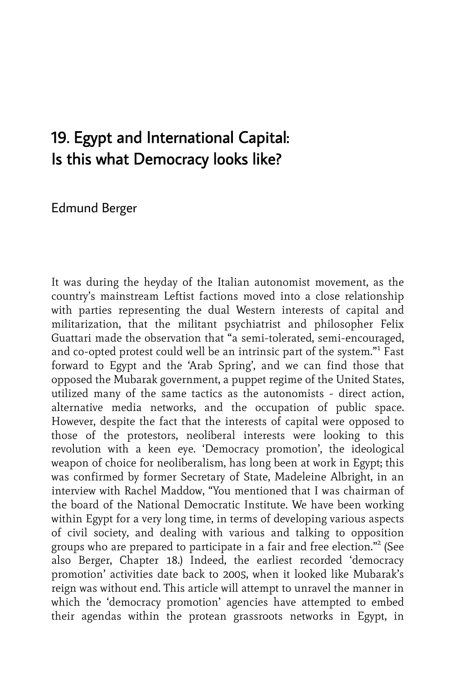# 19. Egypt and International Capital: Is this what Democracy looks like?

Edmund Berger

It was during the heyday of the Italian autonomist movement, as the country's mainstream Leftist factions moved into a close relationship with parties representing the dual Western interests of capital and militarization, that the militant psychiatrist and philosopher Felix Guattari made the observation that "a semi-tolerated, semi-encouraged, and co-opted protest could well be an intrinsic part of the system."<sup>1</sup> Fast forward to Egypt and the 'Arab Spring', and we can find those that opposed the Mubarak government, a puppet regime of the United States, utilized many of the same tactics as the autonomists - direct action, alternative media networks, and the occupation of public space. However, despite the fact that the interests of capital were opposed to those of the protestors, neoliberal interests were looking to this revolution with a keen eye. 'Democracy promotion', the ideological weapon of choice for neoliberalism, has long been at work in Egypt; this was confirmed by former Secretary of State, Madeleine Albright, in an interview with Rachel Maddow, "You mentioned that I was chairman of the board of the National Democratic Institute. We have been working within Egypt for a very long time, in terms of developing various aspects of civil society, and dealing with various and talking to opposition groups who are prepared to participate in a fair and free election."2 (See also Berger, Chapter 18.) Indeed, the earliest recorded 'democracy promotion' activities date back to 2005, when it looked like Mubarak's reign was without end. This article will attempt to unravel the manner in which the 'democracy promotion' agencies have attempted to embed their agendas within the protean grassroots networks in Egypt, in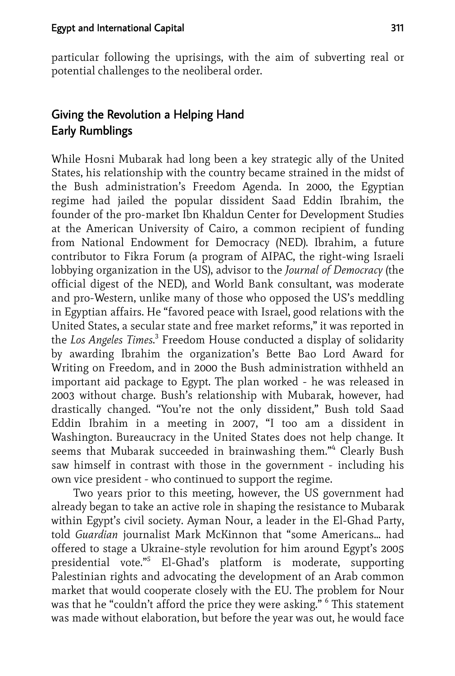particular following the uprisings, with the aim of subverting real or potential challenges to the neoliberal order.

# Giving the Revolution a Helping Hand Early Rumblings

While Hosni Mubarak had long been a key strategic ally of the United States, his relationship with the country became strained in the midst of the Bush administration's Freedom Agenda. In 2000, the Egyptian regime had jailed the popular dissident Saad Eddin Ibrahim, the founder of the pro-market Ibn Khaldun Center for Development Studies at the American University of Cairo, a common recipient of funding from National Endowment for Democracy (NED). Ibrahim, a future contributor to Fikra Forum (a program of AIPAC, the right-wing Israeli lobbying organization in the US), advisor to the *Journal of Democracy* (the official digest of the NED), and World Bank consultant, was moderate and pro-Western, unlike many of those who opposed the US's meddling in Egyptian affairs. He "favored peace with Israel, good relations with the United States, a secular state and free market reforms," it was reported in the *Los Angeles Times*. 3 Freedom House conducted a display of solidarity by awarding Ibrahim the organization's Bette Bao Lord Award for Writing on Freedom, and in 2000 the Bush administration withheld an important aid package to Egypt. The plan worked - he was released in 2003 without charge. Bush's relationship with Mubarak, however, had drastically changed. "You're not the only dissident," Bush told Saad Eddin Ibrahim in a meeting in 2007, "I too am a dissident in Washington. Bureaucracy in the United States does not help change. It seems that Mubarak succeeded in brainwashing them."<sup>4</sup> Clearly Bush saw himself in contrast with those in the government - including his own vice president - who continued to support the regime.

Two years prior to this meeting, however, the US government had already began to take an active role in shaping the resistance to Mubarak within Egypt's civil society. Ayman Nour, a leader in the El-Ghad Party, told *Guardian* journalist Mark McKinnon that "some Americans… had offered to stage a Ukraine-style revolution for him around Egypt's 2005 presidential vote."<sup>5</sup> El-Ghad's platform is moderate, supporting Palestinian rights and advocating the development of an Arab common market that would cooperate closely with the EU. The problem for Nour was that he "couldn't afford the price they were asking." <sup>6</sup> This statement was made without elaboration, but before the year was out, he would face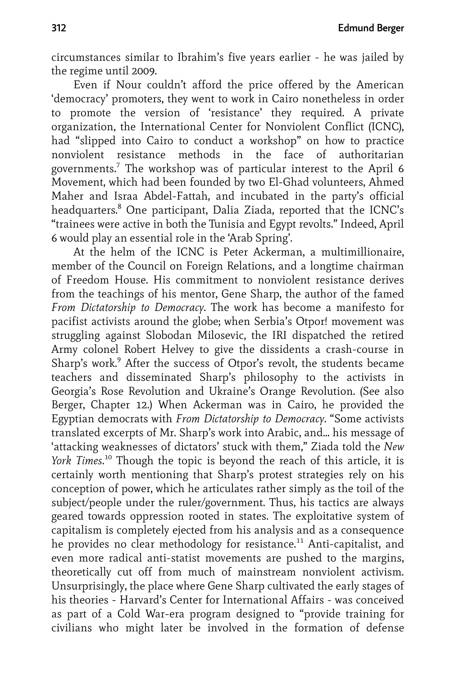circumstances similar to Ibrahim's five years earlier - he was jailed by the regime until 2009.

Even if Nour couldn't afford the price offered by the American 'democracy' promoters, they went to work in Cairo nonetheless in order to promote the version of 'resistance' they required. A private organization, the International Center for Nonviolent Conflict (ICNC), had "slipped into Cairo to conduct a workshop" on how to practice nonviolent resistance methods in the face of authoritarian governments.<sup>7</sup> The workshop was of particular interest to the April 6 Movement, which had been founded by two El-Ghad volunteers, Ahmed Maher and Israa Abdel-Fattah, and incubated in the party's official headquarters.<sup>8</sup> One participant, Dalia Ziada, reported that the ICNC's "trainees were active in both the Tunisia and Egypt revolts." Indeed, April 6 would play an essential role in the 'Arab Spring'.

At the helm of the ICNC is Peter Ackerman, a multimillionaire, member of the Council on Foreign Relations, and a longtime chairman of Freedom House. His commitment to nonviolent resistance derives from the teachings of his mentor, Gene Sharp, the author of the famed *From Dictatorship to Democracy*. The work has become a manifesto for pacifist activists around the globe; when Serbia's Otpor! movement was struggling against Slobodan Milosevic, the IRI dispatched the retired Army colonel Robert Helvey to give the dissidents a crash-course in Sharp's work.<sup>9</sup> After the success of Otpor's revolt, the students became teachers and disseminated Sharp's philosophy to the activists in Georgia's Rose Revolution and Ukraine's Orange Revolution. (See also Berger, Chapter 12.) When Ackerman was in Cairo, he provided the Egyptian democrats with *From Dictatorship to Democracy*. "Some activists translated excerpts of Mr. Sharp's work into Arabic, and… his message of 'attacking weaknesses of dictators' stuck with them," Ziada told the *New*  York Times.<sup>10</sup> Though the topic is beyond the reach of this article, it is certainly worth mentioning that Sharp's protest strategies rely on his conception of power, which he articulates rather simply as the toil of the subject/people under the ruler/government. Thus, his tactics are always geared towards oppression rooted in states. The exploitative system of capitalism is completely ejected from his analysis and as a consequence he provides no clear methodology for resistance.<sup>11</sup> Anti-capitalist, and even more radical anti-statist movements are pushed to the margins, theoretically cut off from much of mainstream nonviolent activism. Unsurprisingly, the place where Gene Sharp cultivated the early stages of his theories - Harvard's Center for International Affairs - was conceived as part of a Cold War-era program designed to "provide training for civilians who might later be involved in the formation of defense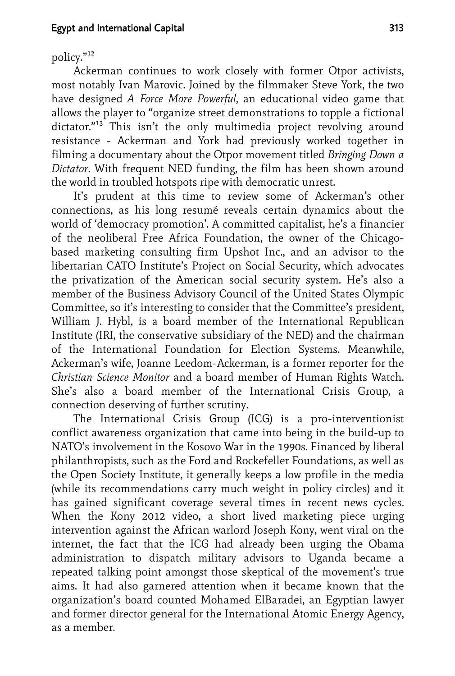### policy."<sup>12</sup>

Ackerman continues to work closely with former Otpor activists, most notably Ivan Marovic. Joined by the filmmaker Steve York, the two have designed *A Force More Powerful*, an educational video game that allows the player to "organize street demonstrations to topple a fictional dictator."<sup>13</sup> This isn't the only multimedia project revolving around resistance - Ackerman and York had previously worked together in filming a documentary about the Otpor movement titled *Bringing Down a Dictator*. With frequent NED funding, the film has been shown around the world in troubled hotspots ripe with democratic unrest.

It's prudent at this time to review some of Ackerman's other connections, as his long resumé reveals certain dynamics about the world of 'democracy promotion'. A committed capitalist, he's a financier of the neoliberal Free Africa Foundation, the owner of the Chicagobased marketing consulting firm Upshot Inc., and an advisor to the libertarian CATO Institute's Project on Social Security, which advocates the privatization of the American social security system. He's also a member of the Business Advisory Council of the United States Olympic Committee, so it's interesting to consider that the Committee's president, William J. Hybl, is a board member of the International Republican Institute (IRI, the conservative subsidiary of the NED) and the chairman of the International Foundation for Election Systems. Meanwhile, Ackerman's wife, Joanne Leedom-Ackerman, is a former reporter for the *Christian Science Monitor* and a board member of Human Rights Watch. She's also a board member of the International Crisis Group, a connection deserving of further scrutiny.

The International Crisis Group (ICG) is a pro-interventionist conflict awareness organization that came into being in the build-up to NATO's involvement in the Kosovo War in the 1990s. Financed by liberal philanthropists, such as the Ford and Rockefeller Foundations, as well as the Open Society Institute, it generally keeps a low profile in the media (while its recommendations carry much weight in policy circles) and it has gained significant coverage several times in recent news cycles. When the Kony 2012 video, a short lived marketing piece urging intervention against the African warlord Joseph Kony, went viral on the internet, the fact that the ICG had already been urging the Obama administration to dispatch military advisors to Uganda became a repeated talking point amongst those skeptical of the movement's true aims. It had also garnered attention when it became known that the organization's board counted Mohamed ElBaradei, an Egyptian lawyer and former director general for the International Atomic Energy Agency, as a member.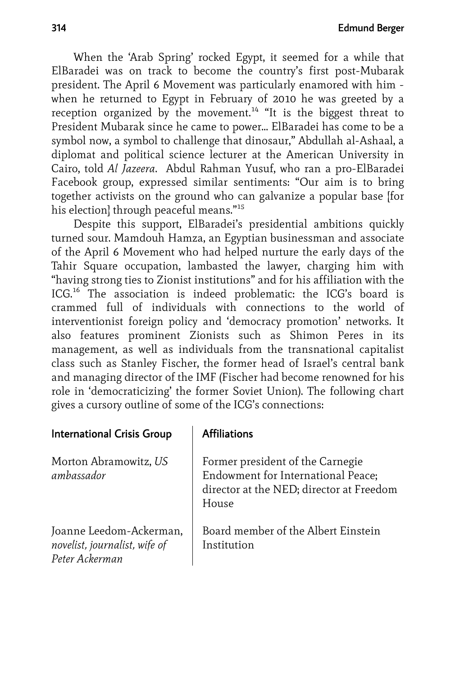314 Edmund Berger

When the 'Arab Spring' rocked Egypt, it seemed for a while that ElBaradei was on track to become the country's first post-Mubarak president. The April 6 Movement was particularly enamored with him when he returned to Egypt in February of 2010 he was greeted by a reception organized by the movement.<sup>14</sup> "It is the biggest threat to President Mubarak since he came to power... ElBaradei has come to be a symbol now, a symbol to challenge that dinosaur," Abdullah al-Ashaal, a diplomat and political science lecturer at the American University in Cairo, told *Al Jazeera*. Abdul Rahman Yusuf, who ran a pro-ElBaradei Facebook group, expressed similar sentiments: "Our aim is to bring together activists on the ground who can galvanize a popular base [for his election] through peaceful means."<sup>15</sup>

Despite this support, ElBaradei's presidential ambitions quickly turned sour. Mamdouh Hamza, an Egyptian businessman and associate of the April 6 Movement who had helped nurture the early days of the Tahir Square occupation, lambasted the lawyer, charging him with "having strong ties to Zionist institutions" and for his affiliation with the ICG.16 The association is indeed problematic: the ICG's board is crammed full of individuals with connections to the world of interventionist foreign policy and 'democracy promotion' networks. It also features prominent Zionists such as Shimon Peres in its management, as well as individuals from the transnational capitalist class such as Stanley Fischer, the former head of Israel's central bank and managing director of the IMF (Fischer had become renowned for his role in 'democraticizing' the former Soviet Union). The following chart gives a cursory outline of some of the ICG's connections:

| Morton Abramowitz, US<br>ambassador                                        | Former president of the Carnegie<br>Endowment for International Peace;<br>director at the NED; director at Freedom<br>House |
|----------------------------------------------------------------------------|-----------------------------------------------------------------------------------------------------------------------------|
| Joanne Leedom-Ackerman,<br>novelist, journalist, wife of<br>Peter Ackerman | Board member of the Albert Einstein<br>Institution                                                                          |

 $I$ International Crisis Group  $\parallel$  Affiliations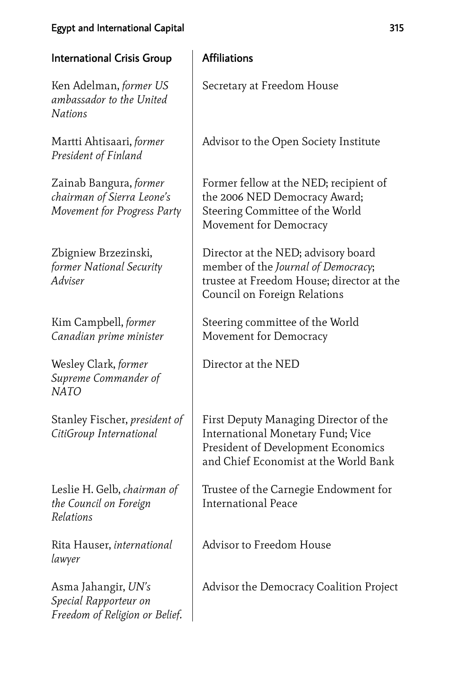### Egypt and International Capital 315

### International Crisis Group Affiliations

Ken Adelman, *former US ambassador to the United Nations*

Martti Ahtisaari, *former President of Finland*

Zainab Bangura, *former chairman of Sierra Leone's Movement for Progress Party*

Zbigniew Brzezinski, *former National Security Adviser*

Kim Campbell, *former Canadian prime minister*

Wesley Clark, *former Supreme Commander of NATO*

Stanley Fischer, *president of CitiGroup International*

Leslie H. Gelb, *chairman of the Council on Foreign Relations*

Rita Hauser, *international lawyer*

Asma Jahangir, *UN's Special Rapporteur on Freedom of Religion or Belief.*

Secretary at Freedom House

Advisor to the Open Society Institute

Former fellow at the NED; recipient of the 2006 NED Democracy Award; Steering Committee of the World Movement for Democracy

Director at the NED; advisory board member of the *Journal of Democracy*; trustee at Freedom House; director at the Council on Foreign Relations

Steering committee of the World Movement for Democracy

Director at the NED

First Deputy Managing Director of the International Monetary Fund; Vice President of Development Economics and Chief Economist at the World Bank

Trustee of the Carnegie Endowment for International Peace

Advisor to Freedom House

Advisor the Democracy Coalition Project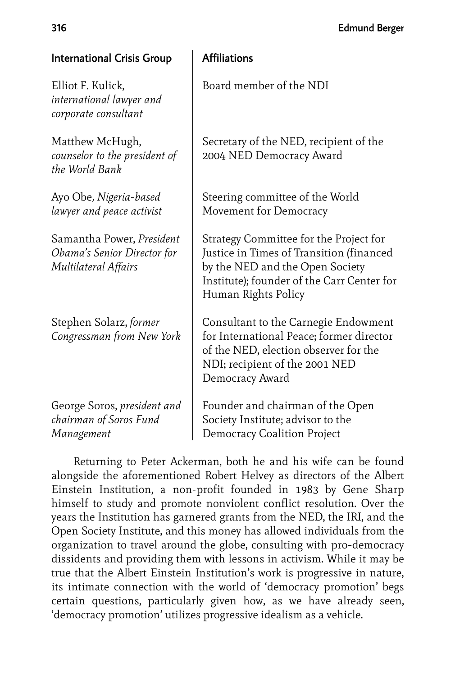# International Crisis Group | Affiliations

Elliot F. Kulick, *international lawyer and corporate consultant*

Matthew McHugh, *counselor to the president of the World Bank*

Ayo Obe*, Nigeria-based lawyer and peace activist*

Samantha Power, *President Obama's Senior Director for Multilateral Affairs*

Stephen Solarz, *former Congressman from New York*

George Soros, *president and chairman of Soros Fund Management*

Board member of the NDI

Secretary of the NED, recipient of the 2004 NED Democracy Award

Steering committee of the World Movement for Democracy

Strategy Committee for the Project for Justice in Times of Transition (financed by the NED and the Open Society Institute); founder of the Carr Center for Human Rights Policy

Consultant to the Carnegie Endowment for International Peace; former director of the NED, election observer for the NDI; recipient of the 2001 NED Democracy Award

Founder and chairman of the Open Society Institute; advisor to the Democracy Coalition Project

Returning to Peter Ackerman, both he and his wife can be found alongside the aforementioned Robert Helvey as directors of the Albert Einstein Institution, a non-profit founded in 1983 by Gene Sharp himself to study and promote nonviolent conflict resolution. Over the years the Institution has garnered grants from the NED, the IRI, and the Open Society Institute, and this money has allowed individuals from the organization to travel around the globe, consulting with pro-democracy dissidents and providing them with lessons in activism. While it may be true that the Albert Einstein Institution's work is progressive in nature, its intimate connection with the world of 'democracy promotion' begs certain questions, particularly given how, as we have already seen, 'democracy promotion' utilizes progressive idealism as a vehicle.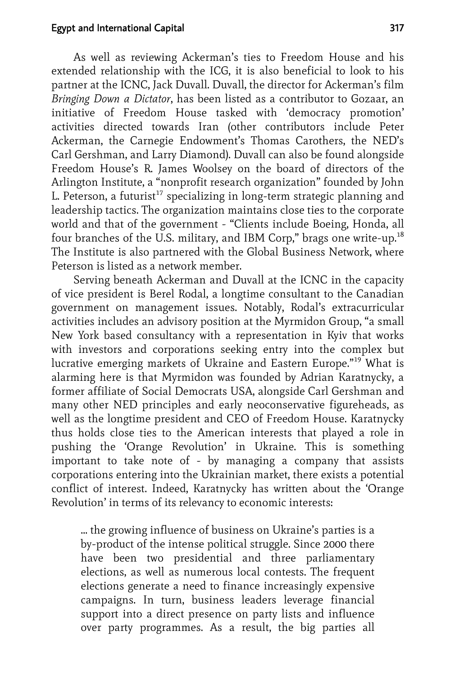### Egypt and International Capital 317

As well as reviewing Ackerman's ties to Freedom House and his extended relationship with the ICG, it is also beneficial to look to his partner at the ICNC, Jack Duvall. Duvall, the director for Ackerman's film *Bringing Down a Dictator*, has been listed as a contributor to Gozaar, an initiative of Freedom House tasked with 'democracy promotion' activities directed towards Iran (other contributors include Peter Ackerman, the Carnegie Endowment's Thomas Carothers, the NED's Carl Gershman, and Larry Diamond). Duvall can also be found alongside Freedom House's R. James Woolsey on the board of directors of the Arlington Institute, a "nonprofit research organization" founded by John L. Peterson, a futurist<sup>17</sup> specializing in long-term strategic planning and leadership tactics. The organization maintains close ties to the corporate world and that of the government - "Clients include Boeing, Honda, all four branches of the U.S. military, and IBM Corp," brags one write-up.18 The Institute is also partnered with the Global Business Network, where Peterson is listed as a network member.

Serving beneath Ackerman and Duvall at the ICNC in the capacity of vice president is Berel Rodal, a longtime consultant to the Canadian government on management issues. Notably, Rodal's extracurricular activities includes an advisory position at the Myrmidon Group, "a small New York based consultancy with a representation in Kyiv that works with investors and corporations seeking entry into the complex but lucrative emerging markets of Ukraine and Eastern Europe."19 What is alarming here is that Myrmidon was founded by Adrian Karatnycky, a former affiliate of Social Democrats USA, alongside Carl Gershman and many other NED principles and early neoconservative figureheads, as well as the longtime president and CEO of Freedom House. Karatnycky thus holds close ties to the American interests that played a role in pushing the 'Orange Revolution' in Ukraine. This is something important to take note of - by managing a company that assists corporations entering into the Ukrainian market, there exists a potential conflict of interest. Indeed, Karatnycky has written about the 'Orange Revolution' in terms of its relevancy to economic interests:

… the growing influence of business on Ukraine's parties is a by-product of the intense political struggle. Since 2000 there have been two presidential and three parliamentary elections, as well as numerous local contests. The frequent elections generate a need to finance increasingly expensive campaigns. In turn, business leaders leverage financial support into a direct presence on party lists and influence over party programmes. As a result, the big parties all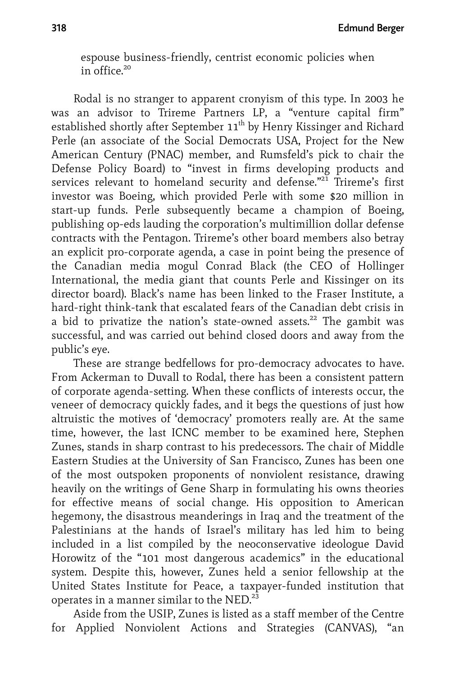espouse business-friendly, centrist economic policies when in office  $20$ 

Rodal is no stranger to apparent cronyism of this type. In 2003 he was an advisor to Trireme Partners LP, a "venture capital firm" established shortly after September 11<sup>th</sup> by Henry Kissinger and Richard Perle (an associate of the Social Democrats USA, Project for the New American Century (PNAC) member, and Rumsfeld's pick to chair the Defense Policy Board) to "invest in firms developing products and services relevant to homeland security and defense."<sup>21</sup> Trireme's first investor was Boeing, which provided Perle with some \$20 million in start-up funds. Perle subsequently became a champion of Boeing, publishing op-eds lauding the corporation's multimillion dollar defense contracts with the Pentagon. Trireme's other board members also betray an explicit pro-corporate agenda, a case in point being the presence of the Canadian media mogul Conrad Black (the CEO of Hollinger International, the media giant that counts Perle and Kissinger on its director board). Black's name has been linked to the Fraser Institute, a hard-right think-tank that escalated fears of the Canadian debt crisis in a bid to privatize the nation's state-owned assets.<sup>22</sup> The gambit was successful, and was carried out behind closed doors and away from the public's eye.

These are strange bedfellows for pro-democracy advocates to have. From Ackerman to Duvall to Rodal, there has been a consistent pattern of corporate agenda-setting. When these conflicts of interests occur, the veneer of democracy quickly fades, and it begs the questions of just how altruistic the motives of 'democracy' promoters really are. At the same time, however, the last ICNC member to be examined here, Stephen Zunes, stands in sharp contrast to his predecessors. The chair of Middle Eastern Studies at the University of San Francisco, Zunes has been one of the most outspoken proponents of nonviolent resistance, drawing heavily on the writings of Gene Sharp in formulating his owns theories for effective means of social change. His opposition to American hegemony, the disastrous meanderings in Iraq and the treatment of the Palestinians at the hands of Israel's military has led him to being included in a list compiled by the neoconservative ideologue David Horowitz of the "101 most dangerous academics" in the educational system. Despite this, however, Zunes held a senior fellowship at the United States Institute for Peace, a taxpayer-funded institution that operates in a manner similar to the NED. $^{23}$ 

Aside from the USIP, Zunes is listed as a staff member of the Centre for Applied Nonviolent Actions and Strategies (CANVAS), "an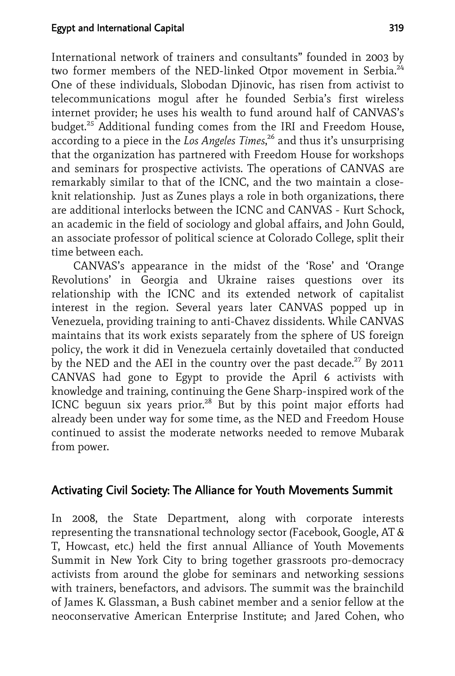International network of trainers and consultants" founded in 2003 by two former members of the NED-linked Otpor movement in Serbia.<sup>24</sup> One of these individuals, Slobodan Djinovic, has risen from activist to telecommunications mogul after he founded Serbia's first wireless internet provider; he uses his wealth to fund around half of CANVAS's budget.25 Additional funding comes from the IRI and Freedom House, according to a piece in the *Los Angeles Times*, 26 and thus it's unsurprising that the organization has partnered with Freedom House for workshops and seminars for prospective activists. The operations of CANVAS are remarkably similar to that of the ICNC, and the two maintain a closeknit relationship. Just as Zunes plays a role in both organizations, there are additional interlocks between the ICNC and CANVAS - Kurt Schock, an academic in the field of sociology and global affairs, and John Gould, an associate professor of political science at Colorado College, split their time between each.

CANVAS's appearance in the midst of the 'Rose' and 'Orange Revolutions' in Georgia and Ukraine raises questions over its relationship with the ICNC and its extended network of capitalist interest in the region. Several years later CANVAS popped up in Venezuela, providing training to anti-Chavez dissidents. While CANVAS maintains that its work exists separately from the sphere of US foreign policy, the work it did in Venezuela certainly dovetailed that conducted by the NED and the AEI in the country over the past decade.<sup>27</sup> By 2011 CANVAS had gone to Egypt to provide the April 6 activists with knowledge and training, continuing the Gene Sharp-inspired work of the ICNC beguun six years prior.<sup>28</sup> But by this point major efforts had already been under way for some time, as the NED and Freedom House continued to assist the moderate networks needed to remove Mubarak from power.

### Activating Civil Society: The Alliance for Youth Movements Summit

In 2008, the State Department, along with corporate interests representing the transnational technology sector (Facebook, Google, AT & T, Howcast, etc.) held the first annual Alliance of Youth Movements Summit in New York City to bring together grassroots pro-democracy activists from around the globe for seminars and networking sessions with trainers, benefactors, and advisors. The summit was the brainchild of James K. Glassman, a Bush cabinet member and a senior fellow at the neoconservative American Enterprise Institute; and Jared Cohen, who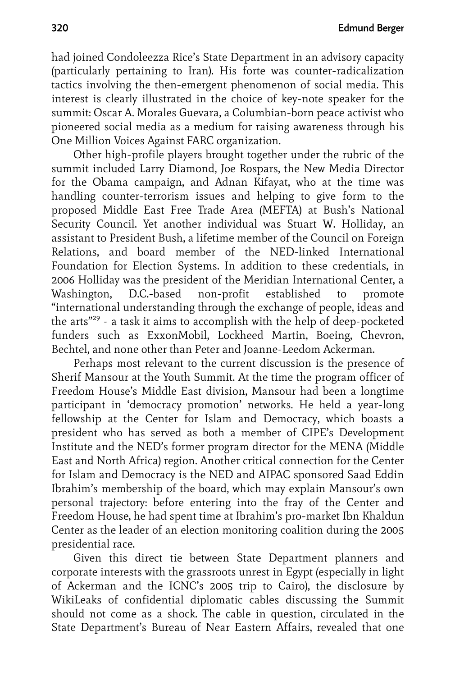had joined Condoleezza Rice's State Department in an advisory capacity (particularly pertaining to Iran). His forte was counter-radicalization tactics involving the then-emergent phenomenon of social media. This interest is clearly illustrated in the choice of key-note speaker for the summit: Oscar A. Morales Guevara, a Columbian-born peace activist who pioneered social media as a medium for raising awareness through his One Million Voices Against FARC organization.

Other high-profile players brought together under the rubric of the summit included Larry Diamond, Joe Rospars, the New Media Director for the Obama campaign, and Adnan Kifayat, who at the time was handling counter-terrorism issues and helping to give form to the proposed Middle East Free Trade Area (MEFTA) at Bush's National Security Council. Yet another individual was Stuart W. Holliday, an assistant to President Bush, a lifetime member of the Council on Foreign Relations, and board member of the NED-linked International Foundation for Election Systems. In addition to these credentials, in 2006 Holliday was the president of the Meridian International Center, a Washington, D.C.-based non-profit established to promote "international understanding through the exchange of people, ideas and the arts"<sup>29</sup> - a task it aims to accomplish with the help of deep-pocketed funders such as ExxonMobil, Lockheed Martin, Boeing, Chevron, Bechtel, and none other than Peter and Joanne-Leedom Ackerman.

Perhaps most relevant to the current discussion is the presence of Sherif Mansour at the Youth Summit. At the time the program officer of Freedom House's Middle East division, Mansour had been a longtime participant in 'democracy promotion' networks. He held a year-long fellowship at the Center for Islam and Democracy, which boasts a president who has served as both a member of CIPE's Development Institute and the NED's former program director for the MENA (Middle East and North Africa) region. Another critical connection for the Center for Islam and Democracy is the NED and AIPAC sponsored Saad Eddin Ibrahim's membership of the board, which may explain Mansour's own personal trajectory: before entering into the fray of the Center and Freedom House, he had spent time at Ibrahim's pro-market Ibn Khaldun Center as the leader of an election monitoring coalition during the 2005 presidential race.

Given this direct tie between State Department planners and corporate interests with the grassroots unrest in Egypt (especially in light of Ackerman and the ICNC's 2005 trip to Cairo), the disclosure by WikiLeaks of confidential diplomatic cables discussing the Summit should not come as a shock. The cable in question, circulated in the State Department's Bureau of Near Eastern Affairs, revealed that one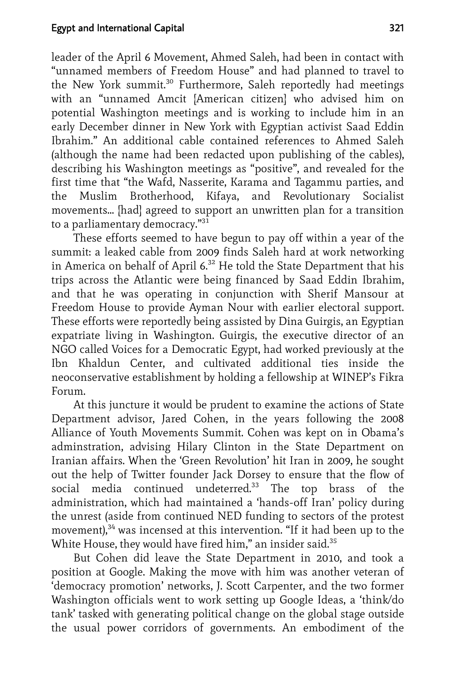leader of the April 6 Movement, Ahmed Saleh, had been in contact with "unnamed members of Freedom House" and had planned to travel to the New York summit.<sup>30</sup> Furthermore, Saleh reportedly had meetings with an "unnamed Amcit [American citizen] who advised him on potential Washington meetings and is working to include him in an early December dinner in New York with Egyptian activist Saad Eddin Ibrahim." An additional cable contained references to Ahmed Saleh (although the name had been redacted upon publishing of the cables), describing his Washington meetings as "positive", and revealed for the first time that "the Wafd, Nasserite, Karama and Tagammu parties, and the Muslim Brotherhood, Kifaya, and Revolutionary Socialist movements… [had] agreed to support an unwritten plan for a transition to a parliamentary democracy."31

These efforts seemed to have begun to pay off within a year of the summit: a leaked cable from 2009 finds Saleh hard at work networking in America on behalf of April 6.<sup>32</sup> He told the State Department that his trips across the Atlantic were being financed by Saad Eddin Ibrahim, and that he was operating in conjunction with Sherif Mansour at Freedom House to provide Ayman Nour with earlier electoral support. These efforts were reportedly being assisted by Dina Guirgis, an Egyptian expatriate living in Washington. Guirgis, the executive director of an NGO called Voices for a Democratic Egypt, had worked previously at the Ibn Khaldun Center, and cultivated additional ties inside the neoconservative establishment by holding a fellowship at WINEP's Fikra Forum.

At this juncture it would be prudent to examine the actions of State Department advisor, Jared Cohen, in the years following the 2008 Alliance of Youth Movements Summit. Cohen was kept on in Obama's adminstration, advising Hilary Clinton in the State Department on Iranian affairs. When the 'Green Revolution' hit Iran in 2009, he sought out the help of Twitter founder Jack Dorsey to ensure that the flow of social media continued undeterred.<sup>33</sup> The top brass of the administration, which had maintained a 'hands-off Iran' policy during the unrest (aside from continued NED funding to sectors of the protest movement),<sup>34</sup> was incensed at this intervention. "If it had been up to the White House, they would have fired him," an insider said.<sup>35</sup>

But Cohen did leave the State Department in 2010, and took a position at Google. Making the move with him was another veteran of 'democracy promotion' networks, J. Scott Carpenter, and the two former Washington officials went to work setting up Google Ideas, a 'think/do tank' tasked with generating political change on the global stage outside the usual power corridors of governments. An embodiment of the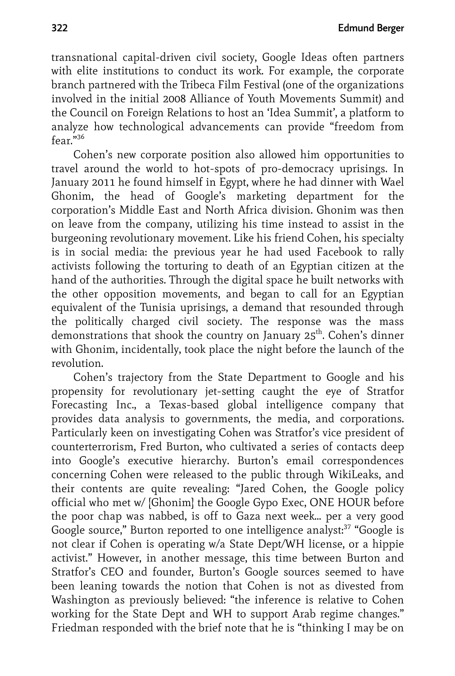transnational capital-driven civil society, Google Ideas often partners with elite institutions to conduct its work. For example, the corporate branch partnered with the Tribeca Film Festival (one of the organizations involved in the initial 2008 Alliance of Youth Movements Summit) and the Council on Foreign Relations to host an 'Idea Summit', a platform to analyze how technological advancements can provide "freedom from  $f_{\rho,ar}$ . 36

Cohen's new corporate position also allowed him opportunities to travel around the world to hot-spots of pro-democracy uprisings. In January 2011 he found himself in Egypt, where he had dinner with Wael Ghonim, the head of Google's marketing department for the corporation's Middle East and North Africa division. Ghonim was then on leave from the company, utilizing his time instead to assist in the burgeoning revolutionary movement. Like his friend Cohen, his specialty is in social media: the previous year he had used Facebook to rally activists following the torturing to death of an Egyptian citizen at the hand of the authorities. Through the digital space he built networks with the other opposition movements, and began to call for an Egyptian equivalent of the Tunisia uprisings, a demand that resounded through the politically charged civil society. The response was the mass demonstrations that shook the country on January  $25<sup>th</sup>$ . Cohen's dinner with Ghonim, incidentally, took place the night before the launch of the revolution.

Cohen's trajectory from the State Department to Google and his propensity for revolutionary jet-setting caught the eye of Stratfor Forecasting Inc., a Texas-based global intelligence company that provides data analysis to governments, the media, and corporations. Particularly keen on investigating Cohen was Stratfor's vice president of counterterrorism, Fred Burton, who cultivated a series of contacts deep into Google's executive hierarchy. Burton's email correspondences concerning Cohen were released to the public through WikiLeaks, and their contents are quite revealing: "Jared Cohen, the Google policy official who met w/ [Ghonim] the Google Gypo Exec, ONE HOUR before the poor chap was nabbed, is off to Gaza next week... per a very good Google source," Burton reported to one intelligence analyst:<sup>37</sup> "Google is not clear if Cohen is operating w/a State Dept/WH license, or a hippie activist." However, in another message, this time between Burton and Stratfor's CEO and founder, Burton's Google sources seemed to have been leaning towards the notion that Cohen is not as divested from Washington as previously believed: "the inference is relative to Cohen working for the State Dept and WH to support Arab regime changes." Friedman responded with the brief note that he is "thinking I may be on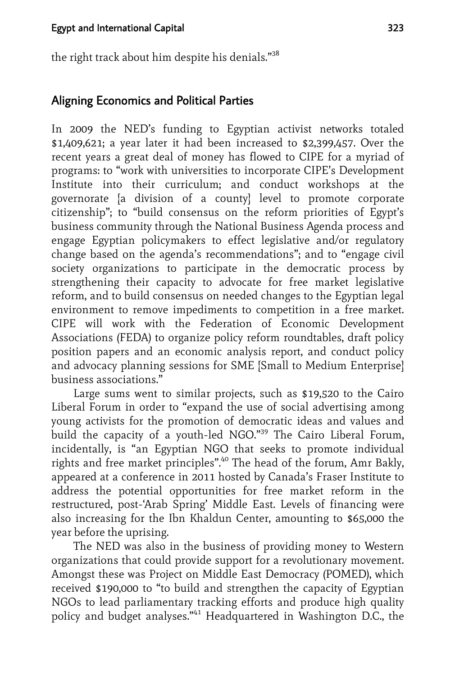the right track about him despite his denials."<sup>38</sup>

### Aligning Economics and Political Parties

In 2009 the NED's funding to Egyptian activist networks totaled \$1,409,621; a year later it had been increased to \$2,399,457. Over the recent years a great deal of money has flowed to CIPE for a myriad of programs: to "work with universities to incorporate CIPE's Development Institute into their curriculum; and conduct workshops at the governorate [a division of a county] level to promote corporate citizenship"; to "build consensus on the reform priorities of Egypt's business community through the National Business Agenda process and engage Egyptian policymakers to effect legislative and/or regulatory change based on the agenda's recommendations"; and to "engage civil society organizations to participate in the democratic process by strengthening their capacity to advocate for free market legislative reform, and to build consensus on needed changes to the Egyptian legal environment to remove impediments to competition in a free market. CIPE will work with the Federation of Economic Development Associations (FEDA) to organize policy reform roundtables, draft policy position papers and an economic analysis report, and conduct policy and advocacy planning sessions for SME [Small to Medium Enterprise] business associations."

Large sums went to similar projects, such as \$19,520 to the Cairo Liberal Forum in order to "expand the use of social advertising among young activists for the promotion of democratic ideas and values and build the capacity of a youth-led NGO."39 The Cairo Liberal Forum, incidentally, is "an Egyptian NGO that seeks to promote individual rights and free market principles".40 The head of the forum, Amr Bakly, appeared at a conference in 2011 hosted by Canada's Fraser Institute to address the potential opportunities for free market reform in the restructured, post-'Arab Spring' Middle East. Levels of financing were also increasing for the Ibn Khaldun Center, amounting to \$65,000 the year before the uprising.

The NED was also in the business of providing money to Western organizations that could provide support for a revolutionary movement. Amongst these was Project on Middle East Democracy (POMED), which received \$190,000 to "to build and strengthen the capacity of Egyptian NGOs to lead parliamentary tracking efforts and produce high quality policy and budget analyses."41 Headquartered in Washington D.C., the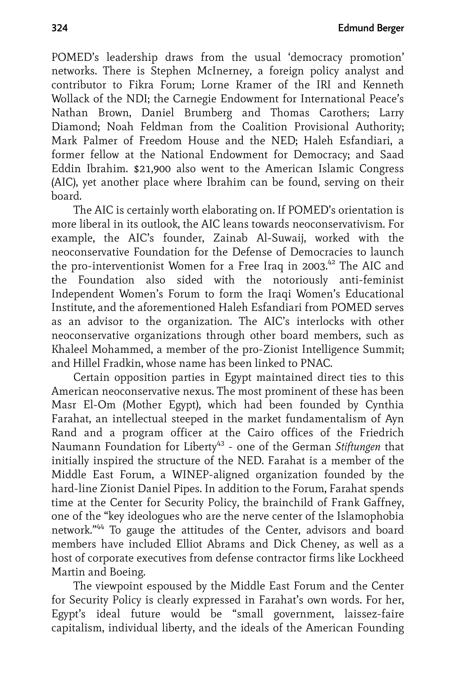324 Edmund Berger

POMED's leadership draws from the usual 'democracy promotion' networks. There is Stephen McInerney, a foreign policy analyst and contributor to Fikra Forum; Lorne Kramer of the IRI and Kenneth Wollack of the NDI; the Carnegie Endowment for International Peace's Nathan Brown, Daniel Brumberg and Thomas Carothers; Larry Diamond; Noah Feldman from the Coalition Provisional Authority; Mark Palmer of Freedom House and the NED; Haleh Esfandiari, a former fellow at the National Endowment for Democracy; and Saad Eddin Ibrahim. \$21,900 also went to the American Islamic Congress (AIC), yet another place where Ibrahim can be found, serving on their board.

The AIC is certainly worth elaborating on. If POMED's orientation is more liberal in its outlook, the AIC leans towards neoconservativism. For example, the AIC's founder, Zainab Al-Suwaij, worked with the neoconservative Foundation for the Defense of Democracies to launch the pro-interventionist Women for a Free Iraq in 2003.<sup>42</sup> The AIC and the Foundation also sided with the notoriously anti-feminist Independent Women's Forum to form the Iraqi Women's Educational Institute, and the aforementioned Haleh Esfandiari from POMED serves as an advisor to the organization. The AIC's interlocks with other neoconservative organizations through other board members, such as Khaleel Mohammed, a member of the pro-Zionist Intelligence Summit; and Hillel Fradkin, whose name has been linked to PNAC.

Certain opposition parties in Egypt maintained direct ties to this American neoconservative nexus. The most prominent of these has been Masr El-Om (Mother Egypt), which had been founded by Cynthia Farahat, an intellectual steeped in the market fundamentalism of Ayn Rand and a program officer at the Cairo offices of the Friedrich Naumann Foundation for Liberty43 - one of the German *Stiftungen* that initially inspired the structure of the NED. Farahat is a member of the Middle East Forum, a WINEP-aligned organization founded by the hard-line Zionist Daniel Pipes. In addition to the Forum, Farahat spends time at the Center for Security Policy, the brainchild of Frank Gaffney, one of the "key ideologues who are the nerve center of the Islamophobia network."44 To gauge the attitudes of the Center, advisors and board members have included Elliot Abrams and Dick Cheney, as well as a host of corporate executives from defense contractor firms like Lockheed Martin and Boeing.

The viewpoint espoused by the Middle East Forum and the Center for Security Policy is clearly expressed in Farahat's own words. For her, Egypt's ideal future would be "small government, laissez-faire capitalism, individual liberty, and the ideals of the American Founding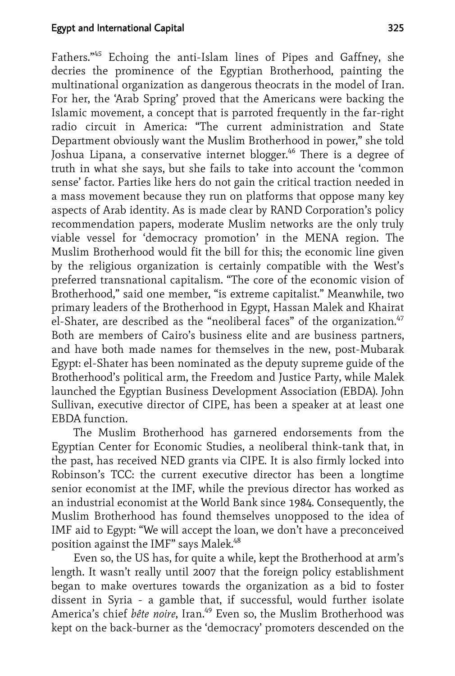### Egypt and International Capital 325

Fathers."45 Echoing the anti-Islam lines of Pipes and Gaffney, she decries the prominence of the Egyptian Brotherhood, painting the multinational organization as dangerous theocrats in the model of Iran. For her, the 'Arab Spring' proved that the Americans were backing the Islamic movement, a concept that is parroted frequently in the far-right radio circuit in America: "The current administration and State Department obviously want the Muslim Brotherhood in power," she told Joshua Lipana, a conservative internet blogger.<sup>46</sup> There is a degree of truth in what she says, but she fails to take into account the 'common sense' factor. Parties like hers do not gain the critical traction needed in a mass movement because they run on platforms that oppose many key aspects of Arab identity. As is made clear by RAND Corporation's policy recommendation papers, moderate Muslim networks are the only truly viable vessel for 'democracy promotion' in the MENA region. The Muslim Brotherhood would fit the bill for this; the economic line given by the religious organization is certainly compatible with the West's preferred transnational capitalism. "The core of the economic vision of Brotherhood," said one member, "is extreme capitalist." Meanwhile, two primary leaders of the Brotherhood in Egypt, Hassan Malek and Khairat el-Shater, are described as the "neoliberal faces" of the organization.<sup>47</sup> Both are members of Cairo's business elite and are business partners, and have both made names for themselves in the new, post-Mubarak Egypt: el-Shater has been nominated as the deputy supreme guide of the Brotherhood's political arm, the Freedom and Justice Party, while Malek launched the Egyptian Business Development Association (EBDA). John Sullivan, executive director of CIPE, has been a speaker at at least one EBDA function.

The Muslim Brotherhood has garnered endorsements from the Egyptian Center for Economic Studies, a neoliberal think-tank that, in the past, has received NED grants via CIPE. It is also firmly locked into Robinson's TCC: the current executive director has been a longtime senior economist at the IMF, while the previous director has worked as an industrial economist at the World Bank since 1984. Consequently, the Muslim Brotherhood has found themselves unopposed to the idea of IMF aid to Egypt: "We will accept the loan, we don't have a preconceived position against the IMF" says Malek.<sup>48</sup>

Even so, the US has, for quite a while, kept the Brotherhood at arm's length. It wasn't really until 2007 that the foreign policy establishment began to make overtures towards the organization as a bid to foster dissent in Syria - a gamble that, if successful, would further isolate America's chief *bête noire*, Iran.<sup>49</sup> Even so, the Muslim Brotherhood was kept on the back-burner as the 'democracy' promoters descended on the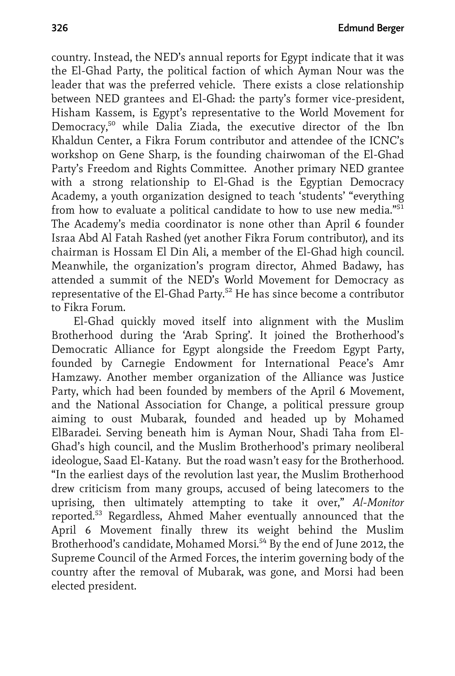326 Edmund Berger

country. Instead, the NED's annual reports for Egypt indicate that it was the El-Ghad Party, the political faction of which Ayman Nour was the leader that was the preferred vehicle. There exists a close relationship between NED grantees and El-Ghad: the party's former vice-president, Hisham Kassem, is Egypt's representative to the World Movement for Democracy,<sup>50</sup> while Dalia Ziada, the executive director of the Ibn Khaldun Center, a Fikra Forum contributor and attendee of the ICNC's workshop on Gene Sharp, is the founding chairwoman of the El-Ghad Party's Freedom and Rights Committee. Another primary NED grantee with a strong relationship to El-Ghad is the Egyptian Democracy Academy, a youth organization designed to teach 'students' "everything from how to evaluate a political candidate to how to use new media."<sup>51</sup> The Academy's media coordinator is none other than April 6 founder Israa Abd Al Fatah Rashed (yet another Fikra Forum contributor), and its chairman is Hossam El Din Ali, a member of the El-Ghad high council. Meanwhile, the organization's program director, Ahmed Badawy, has attended a summit of the NED's World Movement for Democracy as representative of the El-Ghad Party.<sup>52</sup> He has since become a contributor to Fikra Forum.

El-Ghad quickly moved itself into alignment with the Muslim Brotherhood during the 'Arab Spring'. It joined the Brotherhood's Democratic Alliance for Egypt alongside the Freedom Egypt Party, founded by Carnegie Endowment for International Peace's Amr Hamzawy. Another member organization of the Alliance was Justice Party, which had been founded by members of the April 6 Movement, and the National Association for Change, a political pressure group aiming to oust Mubarak, founded and headed up by Mohamed ElBaradei. Serving beneath him is Ayman Nour, Shadi Taha from El-Ghad's high council, and the Muslim Brotherhood's primary neoliberal ideologue, Saad El-Katany. But the road wasn't easy for the Brotherhood. "In the earliest days of the revolution last year, the Muslim Brotherhood drew criticism from many groups, accused of being latecomers to the uprising, then ultimately attempting to take it over," *Al-Monitor* reported.53 Regardless, Ahmed Maher eventually announced that the April 6 Movement finally threw its weight behind the Muslim Brotherhood's candidate, Mohamed Morsi.<sup>54</sup> By the end of June 2012, the Supreme Council of the Armed Forces, the interim governing body of the country after the removal of Mubarak, was gone, and Morsi had been elected president.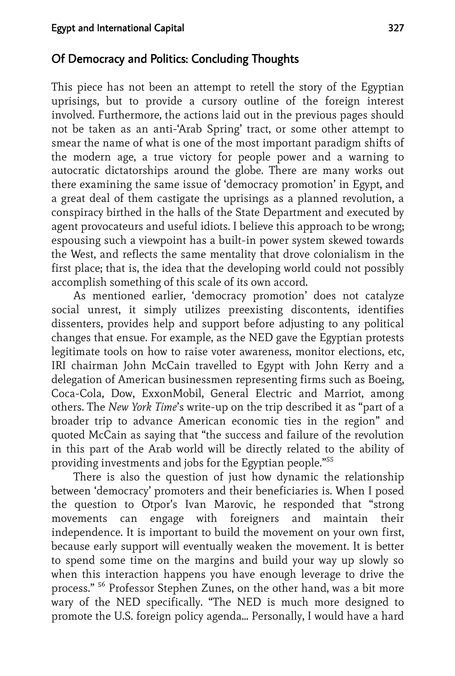# Of Democracy and Politics: Concluding Thoughts

This piece has not been an attempt to retell the story of the Egyptian uprisings, but to provide a cursory outline of the foreign interest involved. Furthermore, the actions laid out in the previous pages should not be taken as an anti-'Arab Spring' tract, or some other attempt to smear the name of what is one of the most important paradigm shifts of the modern age, a true victory for people power and a warning to autocratic dictatorships around the globe. There are many works out there examining the same issue of 'democracy promotion' in Egypt, and a great deal of them castigate the uprisings as a planned revolution, a conspiracy birthed in the halls of the State Department and executed by agent provocateurs and useful idiots. I believe this approach to be wrong; espousing such a viewpoint has a built-in power system skewed towards the West, and reflects the same mentality that drove colonialism in the first place; that is, the idea that the developing world could not possibly accomplish something of this scale of its own accord.

As mentioned earlier, 'democracy promotion' does not catalyze social unrest, it simply utilizes preexisting discontents, identifies dissenters, provides help and support before adjusting to any political changes that ensue. For example, as the NED gave the Egyptian protests legitimate tools on how to raise voter awareness, monitor elections, etc, IRI chairman John McCain travelled to Egypt with John Kerry and a delegation of American businessmen representing firms such as Boeing, Coca-Cola, Dow, ExxonMobil, General Electric and Marriot, among others. The *New York Time*'s write-up on the trip described it as "part of a broader trip to advance American economic ties in the region" and quoted McCain as saying that "the success and failure of the revolution in this part of the Arab world will be directly related to the ability of providing investments and jobs for the Egyptian people."55

There is also the question of just how dynamic the relationship between 'democracy' promoters and their beneficiaries is. When I posed the question to Otpor's Ivan Marovic, he responded that "strong movements can engage with foreigners and maintain their independence. It is important to build the movement on your own first, because early support will eventually weaken the movement. It is better to spend some time on the margins and build your way up slowly so when this interaction happens you have enough leverage to drive the process." 56 Professor Stephen Zunes, on the other hand, was a bit more wary of the NED specifically. "The NED is much more designed to promote the U.S. foreign policy agenda… Personally, I would have a hard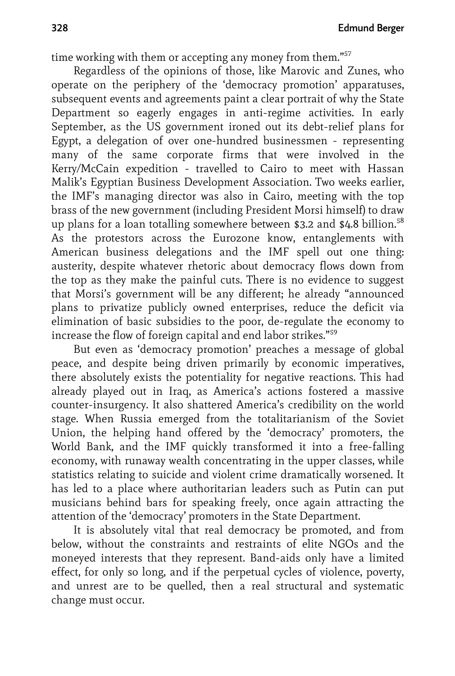time working with them or accepting any money from them."<sup>57</sup>

Regardless of the opinions of those, like Marovic and Zunes, who operate on the periphery of the 'democracy promotion' apparatuses, subsequent events and agreements paint a clear portrait of why the State Department so eagerly engages in anti-regime activities. In early September, as the US government ironed out its debt-relief plans for Egypt, a delegation of over one-hundred businessmen - representing many of the same corporate firms that were involved in the Kerry/McCain expedition - travelled to Cairo to meet with Hassan Malik's Egyptian Business Development Association. Two weeks earlier, the IMF's managing director was also in Cairo, meeting with the top brass of the new government (including President Morsi himself) to draw up plans for a loan totalling somewhere between \$3.2 and \$4.8 billion.<sup>58</sup> As the protestors across the Eurozone know, entanglements with American business delegations and the IMF spell out one thing: austerity, despite whatever rhetoric about democracy flows down from the top as they make the painful cuts. There is no evidence to suggest that Morsi's government will be any different; he already "announced plans to privatize publicly owned enterprises, reduce the deficit via elimination of basic subsidies to the poor, de-regulate the economy to increase the flow of foreign capital and end labor strikes."<sup>59</sup>

But even as 'democracy promotion' preaches a message of global peace, and despite being driven primarily by economic imperatives, there absolutely exists the potentiality for negative reactions. This had already played out in Iraq, as America's actions fostered a massive counter-insurgency. It also shattered America's credibility on the world stage. When Russia emerged from the totalitarianism of the Soviet Union, the helping hand offered by the 'democracy' promoters, the World Bank, and the IMF quickly transformed it into a free-falling economy, with runaway wealth concentrating in the upper classes, while statistics relating to suicide and violent crime dramatically worsened. It has led to a place where authoritarian leaders such as Putin can put musicians behind bars for speaking freely, once again attracting the attention of the 'democracy' promoters in the State Department.

It is absolutely vital that real democracy be promoted, and from below, without the constraints and restraints of elite NGOs and the moneyed interests that they represent. Band-aids only have a limited effect, for only so long, and if the perpetual cycles of violence, poverty, and unrest are to be quelled, then a real structural and systematic change must occur.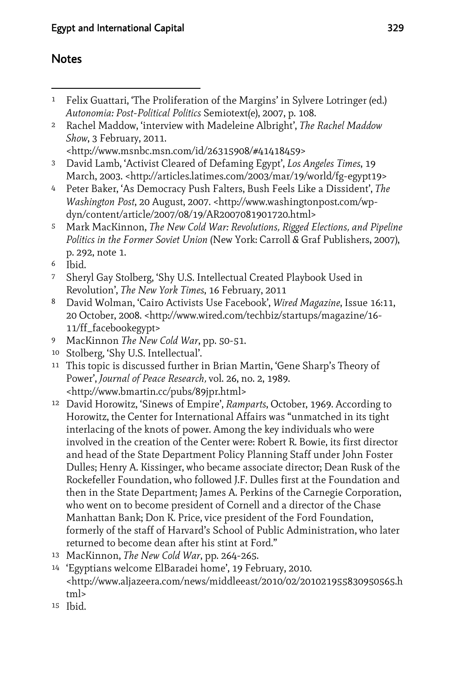- 1 Felix Guattari, 'The Proliferation of the Margins' in Sylvere Lotringer (ed.) *Autonomia: Post-Political Politics* Semiotext(e), 2007, p. 108.
- 2 Rachel Maddow, 'interview with Madeleine Albright', *The Rachel Maddow Show*, 3 February, 2011.

<http://www.msnbc.msn.com/id/26315908/#41418459>

- 3 David Lamb, 'Activist Cleared of Defaming Egypt', *Los Angeles Times*, 19 March, 2003. <http://articles.latimes.com/2003/mar/19/world/fg-egypt19>
- 4 Peter Baker, 'As Democracy Push Falters, Bush Feels Like a Dissident', *The Washington Post*, 20 August, 2007. <http://www.washingtonpost.com/wpdyn/content/article/2007/08/19/AR2007081901720.html>
- 5 Mark MacKinnon, *The New Cold War: Revolutions, Rigged Elections, and Pipeline Politics in the Former Soviet Union* (New York: Carroll & Graf Publishers, 2007), p. 292, note 1.
- 6 Ibid.
- 7 Sheryl Gay Stolberg, 'Shy U.S. Intellectual Created Playbook Used in Revolution', *The New York Times*, 16 February, 2011
- 8 David Wolman, 'Cairo Activists Use Facebook', *Wired Magazine*, Issue 16:11, 20 October, 2008. <http://www.wired.com/techbiz/startups/magazine/16- 11/ff\_facebookegypt>
- 9 MacKinnon *The New Cold War*, pp. 50-51.
- 10 Stolberg, 'Shy U.S. Intellectual'.
- 11 This topic is discussed further in Brian Martin, 'Gene Sharp's Theory of Power', *Journal of Peace Research,* vol. 26, no. 2, 1989. <http://www.bmartin.cc/pubs/89jpr.html>
- 12 David Horowitz, 'Sinews of Empire', *Ramparts*, October, 1969. According to Horowitz, the Center for International Affairs was "unmatched in its tight interlacing of the knots of power. Among the key individuals who were involved in the creation of the Center were: Robert R. Bowie, its first director and head of the State Department Policy Planning Staff under John Foster Dulles; Henry A. Kissinger, who became associate director; Dean Rusk of the Rockefeller Foundation, who followed J.F. Dulles first at the Foundation and then in the State Department; James A. Perkins of the Carnegie Corporation, who went on to become president of Cornell and a director of the Chase Manhattan Bank; Don K. Price, vice president of the Ford Foundation, formerly of the staff of Harvard's School of Public Administration, who later returned to become dean after his stint at Ford."
- 13 MacKinnon, *The New Cold War*, pp. 264-265.
- 14 'Egyptians welcome ElBaradei home', 19 February, 2010. <http://www.aljazeera.com/news/middleeast/2010/02/201021955830950565.h tml>
- 15 Ibid.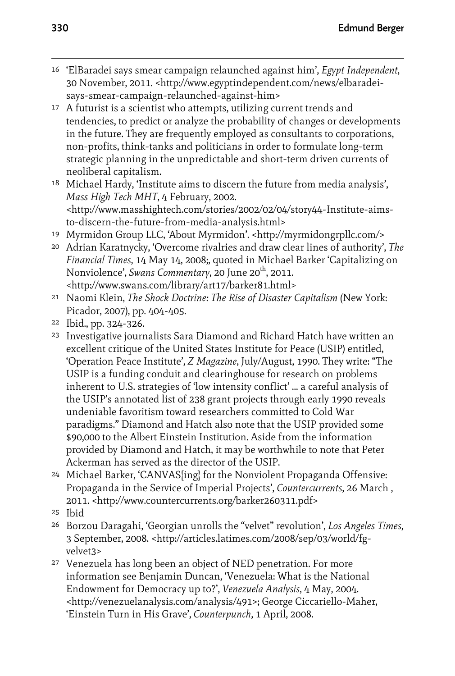17 A futurist is a scientist who attempts, utilizing current trends and tendencies, to predict or analyze the probability of changes or developments in the future. They are frequently employed as consultants to corporations, non-profits, think-tanks and politicians in order to formulate long-term strategic planning in the unpredictable and short-term driven currents of neoliberal capitalism.

18 Michael Hardy, 'Institute aims to discern the future from media analysis', *Mass High Tech MHT*, 4 February, 2002. <http://www.masshightech.com/stories/2002/02/04/story44-Institute-aimsto-discern-the-future-from-media-analysis.html>

- 19 Myrmidon Group LLC, 'About Myrmidon'. <http://myrmidongrpllc.com/>
- 20 Adrian Karatnycky, 'Overcome rivalries and draw clear lines of authority', *The Financial Times*, 14 May 14, 2008;, quoted in Michael Barker 'Capitalizing on Nonviolence', *Swans Commentary*, 20 June 20<sup>th</sup>, 2011. <http://www.swans.com/library/art17/barker81.html>
- 21 Naomi Klein, *The Shock Doctrine: The Rise of Disaster Capitalism* (New York: Picador, 2007), pp. 404-405.
- 22 Ibid., pp. 324-326.
- 23 Investigative journalists Sara Diamond and Richard Hatch have written an excellent critique of the United States Institute for Peace (USIP) entitled, 'Operation Peace Institute', *Z Magazine*, July/August, 1990. They write: "The USIP is a funding conduit and clearinghouse for research on problems inherent to U.S. strategies of 'low intensity conflict' … a careful analysis of the USIP's annotated list of 238 grant projects through early 1990 reveals undeniable favoritism toward researchers committed to Cold War paradigms." Diamond and Hatch also note that the USIP provided some \$90,000 to the Albert Einstein Institution. Aside from the information provided by Diamond and Hatch, it may be worthwhile to note that Peter Ackerman has served as the director of the USIP.
- 24 Michael Barker, 'CANVAS[ing] for the Nonviolent Propaganda Offensive: Propaganda in the Service of Imperial Projects', *Countercurrents*, 26 March , 2011. <http://www.countercurrents.org/barker260311.pdf>
- 25 Ibid
- 26 Borzou Daragahi, 'Georgian unrolls the "velvet" revolution', *Los Angeles Times*, 3 September, 2008. <http://articles.latimes.com/2008/sep/03/world/fgvelvet3>
- 27 Venezuela has long been an object of NED penetration. For more information see Benjamin Duncan, 'Venezuela: What is the National Endowment for Democracy up to?', *Venezuela Analysis*, 4 May, 2004. <http://venezuelanalysis.com/analysis/491>; George Ciccariello-Maher, 'Einstein Turn in His Grave', *Counterpunch*, 1 April, 2008.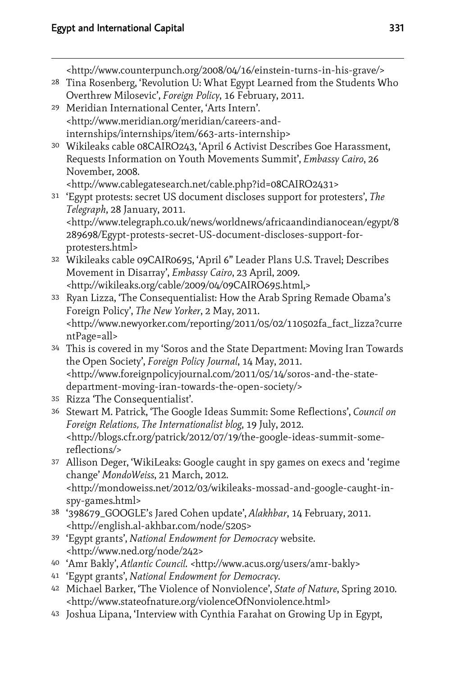|    | <http: 04="" 16="" 2008="" einstein-turns-in-his-grave="" www.counterpunch.org=""></http:>                                              |
|----|-----------------------------------------------------------------------------------------------------------------------------------------|
|    | <sup>28</sup> Tina Rosenberg, 'Revolution U: What Egypt Learned from the Students Who                                                   |
|    | Overthrew Milosevic', Foreign Policy, 16 February, 2011.                                                                                |
| 29 | Meridian International Center, 'Arts Intern'.                                                                                           |
|    | <http: careers-and-<="" meridian="" td="" www.meridian.org=""></http:>                                                                  |
|    | internships/internships/item/663-arts-internship>                                                                                       |
|    | 30 Wikileaks cable 08CAIRO243, 'April 6 Activist Describes Goe Harassment,                                                              |
|    | Requests Information on Youth Movements Summit', Embassy Cairo, 26                                                                      |
|    | November, 2008.                                                                                                                         |
|    | <http: cable.php?id="08CAIRO2431" www.cablegatesearch.net=""></http:>                                                                   |
|    | <sup>31</sup> 'Egypt protests: secret US document discloses support for protesters', The                                                |
|    | Telegraph, 28 January, 2011.                                                                                                            |
|    | <http: 8<="" africaandindianocean="" egypt="" news="" td="" worldnews="" www.telegraph.co.uk=""></http:>                                |
|    | 289698/Egypt-protests-secret-US-document-discloses-support-for-                                                                         |
|    | protesters.html>                                                                                                                        |
|    | 32 Wikileaks cable 09CAIR0695, 'April 6" Leader Plans U.S. Travel; Describes                                                            |
|    | Movement in Disarray', Embassy Cairo, 23 April, 2009.                                                                                   |
|    | <http: 04="" 09cairo695.html,="" 2009="" cable="" wikileaks.org=""></http:>                                                             |
| 33 | Ryan Lizza, 'The Consequentialist: How the Arab Spring Remade Obama's                                                                   |
|    | Foreign Policy', The New Yorker, 2 May, 2011.                                                                                           |
|    | <http: 02="" 05="" 110502fa_fact_lizza?curre<="" 2011="" reporting="" td="" www.newyorker.com=""></http:>                               |
|    | ntPage=all>                                                                                                                             |
|    | 34 This is covered in my 'Soros and the State Department: Moving Iran Towards                                                           |
|    | the Open Society', Foreign Policy Journal, 14 May, 2011.                                                                                |
|    | <http: 05="" 14="" 2011="" soros-and-the-state-<="" td="" www.foreignpolicyjournal.com=""></http:>                                      |
|    | department-moving-iran-towards-the-open-society/>                                                                                       |
|    | 35 Rizza 'The Consequentialist'.                                                                                                        |
| 36 | Stewart M. Patrick, 'The Google Ideas Summit: Some Reflections', Council on                                                             |
|    | Foreign Relations, The Internationalist blog, 19 July, 2012.                                                                            |
|    | <http: 07="" 19="" 2012="" blogs.cfr.org="" patrick="" td="" the-google-ideas-summit-some-<=""></http:>                                 |
|    | reflections/>                                                                                                                           |
|    | <sup>37</sup> Allison Deger, 'WikiLeaks: Google caught in spy games on execs and 'regime                                                |
|    | change' MondoWeiss, 21 March, 2012.<br><http: 03="" 2012="" mondoweiss.net="" td="" wikileaks-mossad-and-google-caught-in-<=""></http:> |
|    | spy-games.html>                                                                                                                         |
|    | 38 '398679_GOOGLE's Jared Cohen update', Alakhbar, 14 February, 2011.                                                                   |
|    | <http: 5205="" english.al-akhbar.com="" node=""></http:>                                                                                |
| 39 | 'Egypt grants', National Endowment for Democracy website.                                                                               |
|    | <http: 242="" node="" www.ned.org=""></http:>                                                                                           |
|    | 40 'Amr Bakly', Atlantic Council. <http: amr-bakly="" users="" www.acus.org=""></http:>                                                 |
| 41 | 'Egypt grants', National Endowment for Democracy.                                                                                       |
| 42 | Michael Barker, 'The Violence of Nonviolence', State of Nature, Spring 2010.                                                            |
|    | <http: violenceofnonviolence.html="" www.stateofnature.org=""></http:>                                                                  |
| 43 | Joshua Lipana, 'Interview with Cynthia Farahat on Growing Up in Egypt,                                                                  |
|    |                                                                                                                                         |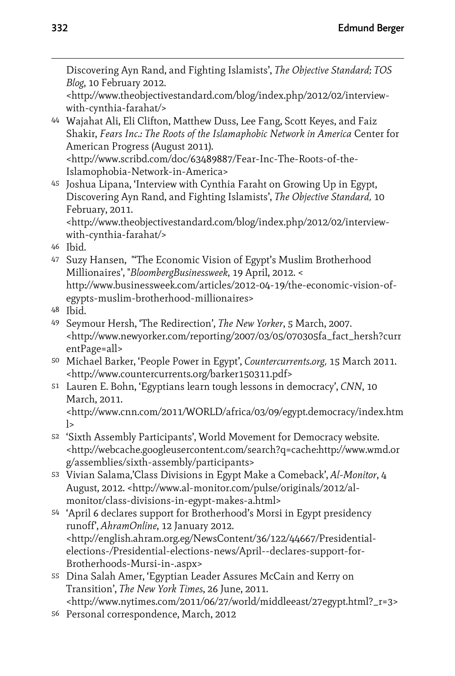Discovering Ayn Rand, and Fighting Islamists', *The Objective Standard; TOS Blog*, 10 February 2012.

<http://www.theobjectivestandard.com/blog/index.php/2012/02/interviewwith-cynthia-farahat/>

44 Wajahat Ali, Eli Clifton, Matthew Duss, Lee Fang, Scott Keyes, and Faiz Shakir, *Fears Inc.: The Roots of the Islamaphobic Network in America* Center for American Progress (August 2011). <http://www.scribd.com/doc/63489887/Fear-Inc-The-Roots-of-the-

Islamophobia-Network-in-America>

45 Joshua Lipana, 'Interview with Cynthia Faraht on Growing Up in Egypt, Discovering Ayn Rand, and Fighting Islamists', *The Objective Standard,* 10 February, 2011.

<http://www.theobjectivestandard.com/blog/index.php/2012/02/interviewwith-cynthia-farahat/>

46 Ibid.

- 47 Suzy Hansen, "'The Economic Vision of Egypt's Muslim Brotherhood Millionaires', "*BloombergBusinessweek*, 19 April, 2012. < http://www.businessweek.com/articles/2012-04-19/the-economic-vision-ofegypts-muslim-brotherhood-millionaires>
- 48 Ibid.
- 49 Seymour Hersh, 'The Redirection', *The New Yorker*, 5 March, 2007. <http://www.newyorker.com/reporting/2007/03/05/070305fa\_fact\_hersh?curr entPage=all>
- 50 Michael Barker, 'People Power in Egypt', *Countercurrents.org,* 15 March 2011. <http://www.countercurrents.org/barker150311.pdf>
- 51 Lauren E. Bohn, 'Egyptians learn tough lessons in democracy', *CNN*, 10 March, 2011. <http://www.cnn.com/2011/WORLD/africa/03/09/egypt.democracy/index.htm

l>

- 52 'Sixth Assembly Participants', World Movement for Democracy website. <http://webcache.googleusercontent.com/search?q=cache:http://www.wmd.or g/assemblies/sixth-assembly/participants>
- 53 Vivian Salama,'Class Divisions in Egypt Make a Comeback', *Al-Monitor*, 4 August, 2012. <http://www.al-monitor.com/pulse/originals/2012/almonitor/class-divisions-in-egypt-makes-a.html>
- 54 'April 6 declares support for Brotherhood's Morsi in Egypt presidency runoff', *AhramOnline*, 12 January 2012. <http://english.ahram.org.eg/NewsContent/36/122/44667/Presidentialelections-/Presidential-elections-news/April--declares-support-for-Brotherhoods-Mursi-in-.aspx>
- 55 Dina Salah Amer, 'Egyptian Leader Assures McCain and Kerry on Transition', *The New York Times*, 26 June, 2011. <http://www.nytimes.com/2011/06/27/world/middleeast/27egypt.html?\_r=3>
- 56 Personal correspondence, March, 2012